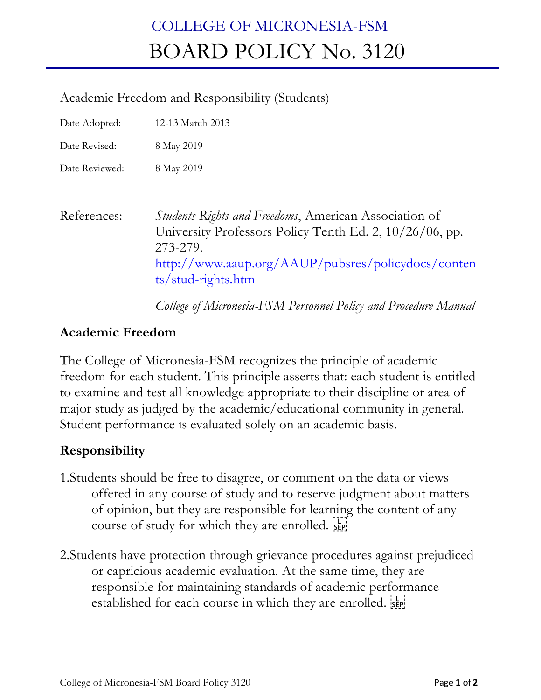## COLLEGE OF MICRONESIA-FSM BOARD POLICY No. 3120

## Academic Freedom and Responsibility (Students)

Date Adopted: 12-13 March 2013

Date Revised: 8 May 2019

Date Reviewed: 8 May 2019

References: *Students Rights and Freedoms*, American Association of University Professors Policy Tenth Ed. 2, 10/26/06, pp. 273-279. http://www.aaup.org/AAUP/pubsres/policydocs/conten ts/stud-rights.htm

*College of Micronesia-FSM Personnel Policy and Procedure Manual* 

## **Academic Freedom**

The College of Micronesia-FSM recognizes the principle of academic freedom for each student. This principle asserts that: each student is entitled to examine and test all knowledge appropriate to their discipline or area of major study as judged by the academic/educational community in general. Student performance is evaluated solely on an academic basis.

## **Responsibility**

- 1.Students should be free to disagree, or comment on the data or views offered in any course of study and to reserve judgment about matters of opinion, but they are responsible for learning the content of any course of study for which they are enrolled.  $\frac{1}{2}$
- 2.Students have protection through grievance procedures against prejudiced or capricious academic evaluation. At the same time, they are responsible for maintaining standards of academic performance established for each course in which they are enrolled. see